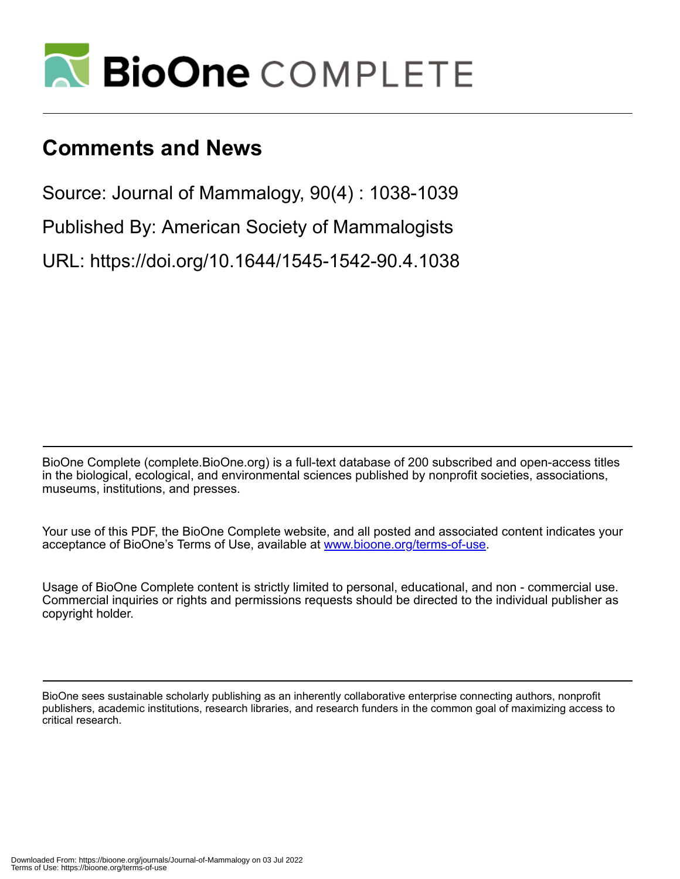

# **Comments and News**

Source: Journal of Mammalogy, 90(4) : 1038-1039

Published By: American Society of Mammalogists

URL: https://doi.org/10.1644/1545-1542-90.4.1038

BioOne Complete (complete.BioOne.org) is a full-text database of 200 subscribed and open-access titles in the biological, ecological, and environmental sciences published by nonprofit societies, associations, museums, institutions, and presses.

Your use of this PDF, the BioOne Complete website, and all posted and associated content indicates your acceptance of BioOne's Terms of Use, available at www.bioone.org/terms-of-use.

Usage of BioOne Complete content is strictly limited to personal, educational, and non - commercial use. Commercial inquiries or rights and permissions requests should be directed to the individual publisher as copyright holder.

BioOne sees sustainable scholarly publishing as an inherently collaborative enterprise connecting authors, nonprofit publishers, academic institutions, research libraries, and research funders in the common goal of maximizing access to critical research.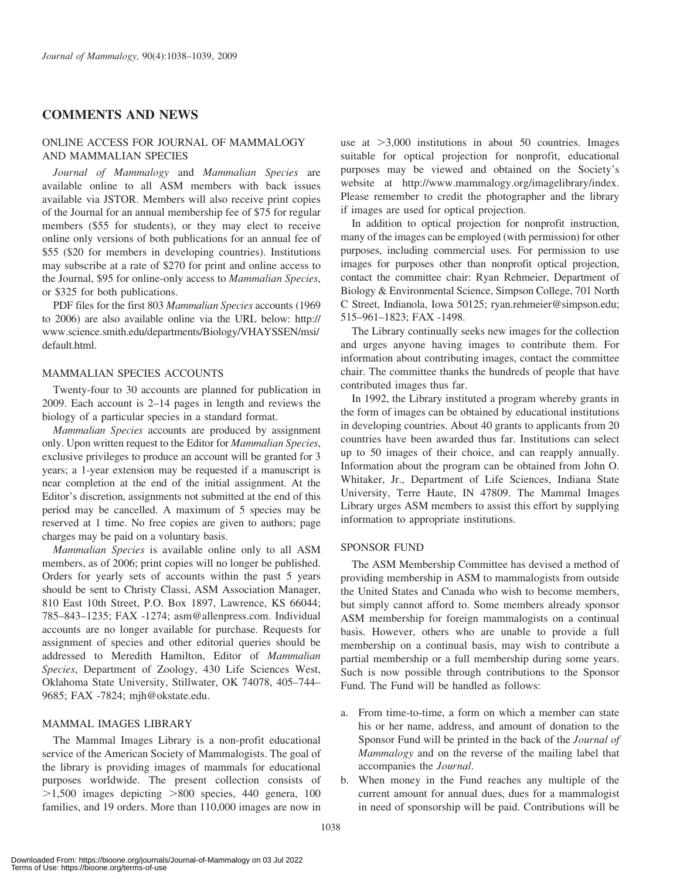# COMMENTS AND NEWS

# ONLINE ACCESS FOR JOURNAL OF MAMMALOGY AND MAMMALIAN SPECIES

Journal of Mammalogy and Mammalian Species are available online to all ASM members with back issues available via JSTOR. Members will also receive print copies of the Journal for an annual membership fee of \$75 for regular members (\$55 for students), or they may elect to receive online only versions of both publications for an annual fee of \$55 (\$20 for members in developing countries). Institutions may subscribe at a rate of \$270 for print and online access to the Journal, \$95 for online-only access to Mammalian Species, or \$325 for both publications.

PDF files for the first 803 Mammalian Species accounts (1969 to 2006) are also available online via the URL below: http:// www.science.smith.edu/departments/Biology/VHAYSSEN/msi/ default.html.

## MAMMALIAN SPECIES ACCOUNTS

Twenty-four to 30 accounts are planned for publication in 2009. Each account is 2–14 pages in length and reviews the biology of a particular species in a standard format.

Mammalian Species accounts are produced by assignment only. Upon written request to the Editor for Mammalian Species, exclusive privileges to produce an account will be granted for 3 years; a 1-year extension may be requested if a manuscript is near completion at the end of the initial assignment. At the Editor's discretion, assignments not submitted at the end of this period may be cancelled. A maximum of 5 species may be reserved at 1 time. No free copies are given to authors; page charges may be paid on a voluntary basis.

Mammalian Species is available online only to all ASM members, as of 2006; print copies will no longer be published. Orders for yearly sets of accounts within the past 5 years should be sent to Christy Classi, ASM Association Manager, 810 East 10th Street, P.O. Box 1897, Lawrence, KS 66044; 785–843–1235; FAX -1274; asm@allenpress.com. Individual accounts are no longer available for purchase. Requests for assignment of species and other editorial queries should be addressed to Meredith Hamilton, Editor of Mammalian Species, Department of Zoology, 430 Life Sciences West, Oklahoma State University, Stillwater, OK 74078, 405–744– 9685; FAX -7824; mjh@okstate.edu.

#### MAMMAL IMAGES LIBRARY

The Mammal Images Library is a non-profit educational service of the American Society of Mammalogists. The goal of the library is providing images of mammals for educational purposes worldwide. The present collection consists of  $>1,500$  images depicting  $>800$  species, 440 genera, 100 families, and 19 orders. More than 110,000 images are now in

use at  $>3,000$  institutions in about 50 countries. Images suitable for optical projection for nonprofit, educational purposes may be viewed and obtained on the Society's website at http://www.mammalogy.org/imagelibrary/index. Please remember to credit the photographer and the library if images are used for optical projection.

In addition to optical projection for nonprofit instruction, many of the images can be employed (with permission) for other purposes, including commercial uses. For permission to use images for purposes other than nonprofit optical projection, contact the committee chair: Ryan Rehmeier, Department of Biology & Environmental Science, Simpson College, 701 North C Street, Indianola, Iowa 50125; ryan.rehmeier@simpson.edu; 515–961–1823; FAX -1498.

The Library continually seeks new images for the collection and urges anyone having images to contribute them. For information about contributing images, contact the committee chair. The committee thanks the hundreds of people that have contributed images thus far.

In 1992, the Library instituted a program whereby grants in the form of images can be obtained by educational institutions in developing countries. About 40 grants to applicants from 20 countries have been awarded thus far. Institutions can select up to 50 images of their choice, and can reapply annually. Information about the program can be obtained from John O. Whitaker, Jr., Department of Life Sciences, Indiana State University, Terre Haute, IN 47809. The Mammal Images Library urges ASM members to assist this effort by supplying information to appropriate institutions.

#### SPONSOR FUND

The ASM Membership Committee has devised a method of providing membership in ASM to mammalogists from outside the United States and Canada who wish to become members, but simply cannot afford to. Some members already sponsor ASM membership for foreign mammalogists on a continual basis. However, others who are unable to provide a full membership on a continual basis, may wish to contribute a partial membership or a full membership during some years. Such is now possible through contributions to the Sponsor Fund. The Fund will be handled as follows:

- a. From time-to-time, a form on which a member can state his or her name, address, and amount of donation to the Sponsor Fund will be printed in the back of the Journal of Mammalogy and on the reverse of the mailing label that accompanies the Journal.
- b. When money in the Fund reaches any multiple of the current amount for annual dues, dues for a mammalogist in need of sponsorship will be paid. Contributions will be